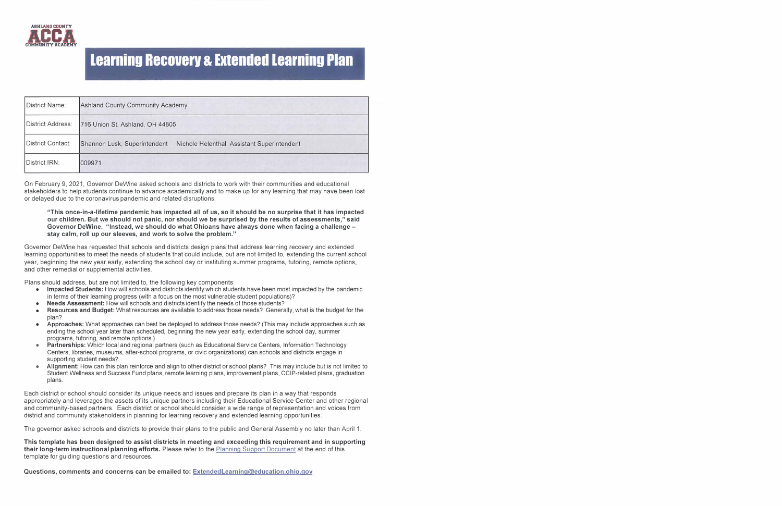

| District Name:    | Ashland County Community Academy                                            |
|-------------------|-----------------------------------------------------------------------------|
| District Address: | 716 Union St. Ashland, OH 44805                                             |
| District Contact: | Nichole Helenthal, Assistant Superintendent<br>Shannon Lusk, Superintendent |
| District IRN:     | 009971                                                                      |

On February 9, 2021, Governor DeWine asked schools and districts to work with their communities and educational stakeholders to help students continue to advance academically and to make up for any learning that may have been lost or delayed due to the coronavirus pandemic and related disruptions.

#### **"This once-in-a-lifetime pandemic has impacted all of us, so it should be no surprise that it has impacted our children. But we should not panic, nor should we be surprised by the results of assessments," said Governor DeWine. "Instead, we should do what Ohioans have always done when facing a challenge stay calm, roll up our sleeves, and work to solve the problem."**

Governor DeWine has requested that schools and districts design plans that address learning recovery and extended learning opportunities to meet the needs of students that could include, but are not limited to, extending the current school year, beginning the new year early, extending the school day or instituting summer programs, tutoring, remote options, and other remedial or supplemental activities.

Plans should address, but are not limited to, the following key components:

- **• Impacted Students:** How will schools and districts identify which students have been most impacted by the pandemic in terms of their learning progress (with a focus on the most vulnerable student populations)?
- **• Needs Assessment:** How will schools and districts identify the needs of those students?
- **• Resources and Budget:** What resources are available to address those needs? Generally, what is the budget for the plan?
- **• Approaches:** What approaches can best be deployed to address those needs? (This may include approaches such as ending the school year later than scheduled, beginning the new year early, extending the school day, summer programs, tutoring, and remote options.)
- **• Partnerships:** Which local and regional partners (such as Educational Service Centers, Information Technology Centers, libraries, museums, after-school programs, or civic organizations) can schools and districts engage in supporting student needs?
- **• Alignment:** How can this plan reinforce and align to other district or school plans? This may include but is not limited to Student Wellness and Success Fund plans, remote learning plans, improvement plans, CC IP-related plans, graduation plans.

Each district or school should consider its unique needs and issues and prepare its plan in a way that responds appropriately and leverages the assets of its unique partners including their Educational Service Center and other regional and community-based partners. Each district or school should consider a wide range of representation and voices from district and community stakeholders in planning for learning recovery and extended learning opportunities.

The governor asked schools and districts to provide their plans to the public and General Assembly no later than April 1.

**This template has been designed to assist districts in meeting and exceeding this requirement and in supporting their long-term instructional planning efforts.** Please refer to the Planning Support Document at the end of this template for guiding questions and resources.

**Questions, comments and concerns can be emailed to: Extendedlearninq@education.ohio.gov**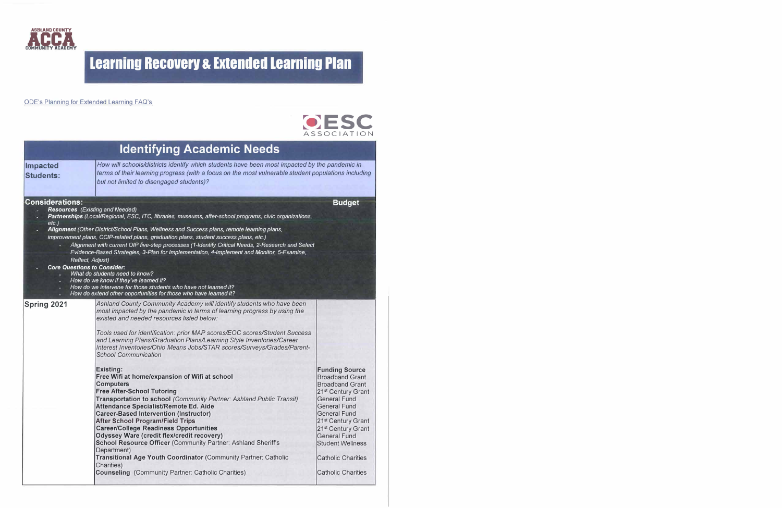

#### ODE's Planning for Extended Learning FAQ's



|                                                                              |                                                                                                                                                                                                                                                                                                                                                                                                                                                                                                                                                                                                                                                                                                                                                                                                                                                                                                                                                                                                                                                                                                                                                               | 8330CIAIIUN                                                                                                                                                                                                                                                                                                                                                      |
|------------------------------------------------------------------------------|---------------------------------------------------------------------------------------------------------------------------------------------------------------------------------------------------------------------------------------------------------------------------------------------------------------------------------------------------------------------------------------------------------------------------------------------------------------------------------------------------------------------------------------------------------------------------------------------------------------------------------------------------------------------------------------------------------------------------------------------------------------------------------------------------------------------------------------------------------------------------------------------------------------------------------------------------------------------------------------------------------------------------------------------------------------------------------------------------------------------------------------------------------------|------------------------------------------------------------------------------------------------------------------------------------------------------------------------------------------------------------------------------------------------------------------------------------------------------------------------------------------------------------------|
|                                                                              | <b>Identifying Academic Needs</b>                                                                                                                                                                                                                                                                                                                                                                                                                                                                                                                                                                                                                                                                                                                                                                                                                                                                                                                                                                                                                                                                                                                             |                                                                                                                                                                                                                                                                                                                                                                  |
| <b>Impacted</b><br><b>Students:</b>                                          | How will schools/districts identify which students have been most impacted by the pandemic in<br>terms of their learning progress (with a focus on the most vulnerable student populations including<br>but not limited to disengaged students)?                                                                                                                                                                                                                                                                                                                                                                                                                                                                                                                                                                                                                                                                                                                                                                                                                                                                                                              |                                                                                                                                                                                                                                                                                                                                                                  |
| <b>Considerations:</b><br><b>Resources</b> (Existing and Needed)<br>$etc.$ ) | Partnerships (Local/Regional, ESC, ITC, libraries, museums, after-school programs, civic organizations,                                                                                                                                                                                                                                                                                                                                                                                                                                                                                                                                                                                                                                                                                                                                                                                                                                                                                                                                                                                                                                                       | <b>Budget</b>                                                                                                                                                                                                                                                                                                                                                    |
| Reflect, Adjust)<br><b>Core Questions to Consider:</b>                       | Alignment (Other District/School Plans, Wellness and Success plans, remote learning plans,<br>improvement plans, CCIP-related plans, graduation plans, student success plans, etc.)<br>Alignment with current OIP five-step processes (1-Identify Critical Needs, 2-Research and Select<br>Evidence-Based Strategies, 3-Plan for Implementation, 4-Implement and Monitor, 5-Examine,<br>What do students need to know?<br>How do we know if they've learned it?<br>How do we intervene for those students who have not learned it?<br>How do extend other opportunities for those who have learned it?                                                                                                                                                                                                                                                                                                                                                                                                                                                                                                                                                        |                                                                                                                                                                                                                                                                                                                                                                  |
| Spring 2021                                                                  | Ashland County Community Academy will identify students who have been<br>most impacted by the pandemic in terms of learning progress by using the<br>existed and needed resources listed below:<br>Tools used for identification: prior MAP scores/EOC scores/Student Success<br>and Learning Plans/Graduation Plans/Learning Style Inventories/Career<br>Interest Inventories/Ohio Means Jobs/STAR scores/Surveys/Grades/Parent-<br><b>School Communication</b><br><b>Existing:</b><br>Free Wifi at home/expansion of Wifi at school<br><b>Computers</b><br><b>Free After-School Tutoring</b><br>Transportation to school (Community Partner: Ashland Public Transit)<br><b>Attendance Specialist/Remote Ed. Aide</b><br><b>Career-Based Intervention (Instructor)</b><br><b>After School Program/Field Trips</b><br><b>Career/College Readiness Opportunities</b><br><b>Odyssey Ware (credit flex/credit recovery)</b><br><b>School Resource Officer (Community Partner: Ashland Sheriff's</b><br>Department)<br>Transitional Age Youth Coordinator (Community Partner: Catholic<br>Charities)<br><b>Counseling (Community Partner: Catholic Charities)</b> | <b>Funding Source</b><br><b>Broadband Grant</b><br><b>Broadband Grant</b><br>21 <sup>st</sup> Century Grant<br><b>General Fund</b><br><b>General Fund</b><br><b>General Fund</b><br>21 <sup>st</sup> Century Grant<br>21 <sup>st</sup> Century Grant<br><b>General Fund</b><br><b>Student Wellness</b><br><b>Catholic Charities</b><br><b>Catholic Charities</b> |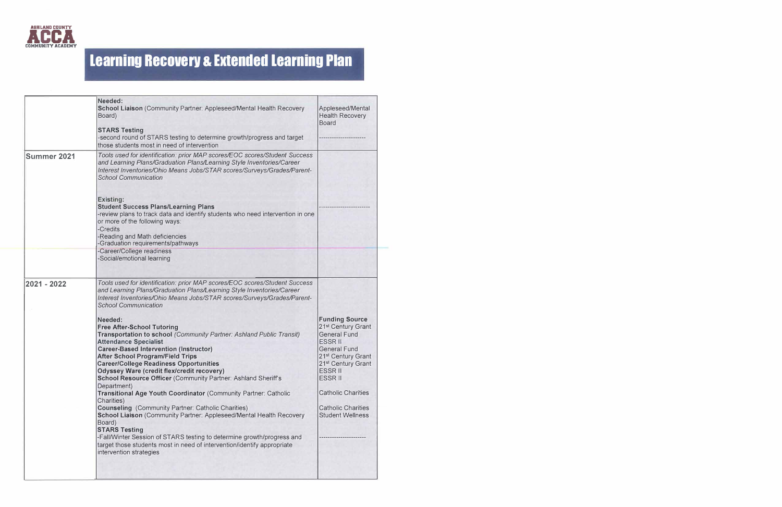

| Needed:<br>School Liaison (Community Partner: Appleseed/Mental Health Recovery<br>Board)<br><b>STARS Testing</b><br>-second round of STARS testing to determine growth/progress and target<br>those students most in need of intervention                                                                                                                                                                                                                                                                                                                                                                                                                                                                                                                                                                                                                                     | Appleseed/Mental<br><b>Health Recovery</b><br><b>Board</b>                                                                                                                                                                                                                                                          |
|-------------------------------------------------------------------------------------------------------------------------------------------------------------------------------------------------------------------------------------------------------------------------------------------------------------------------------------------------------------------------------------------------------------------------------------------------------------------------------------------------------------------------------------------------------------------------------------------------------------------------------------------------------------------------------------------------------------------------------------------------------------------------------------------------------------------------------------------------------------------------------|---------------------------------------------------------------------------------------------------------------------------------------------------------------------------------------------------------------------------------------------------------------------------------------------------------------------|
| Tools used for identification: prior MAP scores/EOC scores/Student Success<br>and Learning Plans/Graduation Plans/Learning Style Inventories/Career<br>Interest Inventories/Ohio Means Jobs/STAR scores/Surveys/Grades/Parent-<br><b>School Communication</b>                                                                                                                                                                                                                                                                                                                                                                                                                                                                                                                                                                                                                 |                                                                                                                                                                                                                                                                                                                     |
| <b>Existing:</b><br><b>Student Success Plans/Learning Plans</b><br>-review plans to track data and identify students who need intervention in one<br>or more of the following ways:<br>-Credits<br>-Reading and Math deficiencies<br>-Graduation requirements/pathways                                                                                                                                                                                                                                                                                                                                                                                                                                                                                                                                                                                                        |                                                                                                                                                                                                                                                                                                                     |
| -Social/emotional learning                                                                                                                                                                                                                                                                                                                                                                                                                                                                                                                                                                                                                                                                                                                                                                                                                                                    |                                                                                                                                                                                                                                                                                                                     |
| Tools used for identification: prior MAP scores/EOC scores/Student Success<br>and Learning Plans/Graduation Plans/Learning Style Inventories/Career<br>Interest Inventories/Ohio Means Jobs/STAR scores/Surveys/Grades/Parent-<br><b>School Communication</b>                                                                                                                                                                                                                                                                                                                                                                                                                                                                                                                                                                                                                 |                                                                                                                                                                                                                                                                                                                     |
| Needed:<br><b>Free After-School Tutoring</b><br>Transportation to school (Community Partner: Ashland Public Transit)<br><b>Attendance Specialist</b><br><b>Career-Based Intervention (Instructor)</b><br><b>After School Program/Field Trips</b><br><b>Career/College Readiness Opportunities</b><br><b>Odyssey Ware (credit flex/credit recovery)</b><br>School Resource Officer (Community Partner: Ashland Sheriff's<br>Department)<br>Transitional Age Youth Coordinator (Community Partner: Catholic<br>Charities)<br><b>Counseling (Community Partner: Catholic Charities)</b><br>School Liaison (Community Partner: Appleseed/Mental Health Recovery<br>Board)<br><b>STARS Testing</b><br>-Fall/Winter Session of STARS testing to determine growth/progress and<br>target those students most in need of intervention/identify appropriate<br>intervention strategies | <b>Funding Source</b><br>21 <sup>st</sup> Century Grant<br><b>General Fund</b><br><b>ESSR II</b><br><b>General Fund</b><br>21 <sup>st</sup> Century Grant<br>21 <sup>st</sup> Century Grant<br><b>ESSR II</b><br><b>ESSRII</b><br><b>Catholic Charities</b><br><b>Catholic Charities</b><br><b>Student Wellness</b> |
|                                                                                                                                                                                                                                                                                                                                                                                                                                                                                                                                                                                                                                                                                                                                                                                                                                                                               | -Career/College readiness                                                                                                                                                                                                                                                                                           |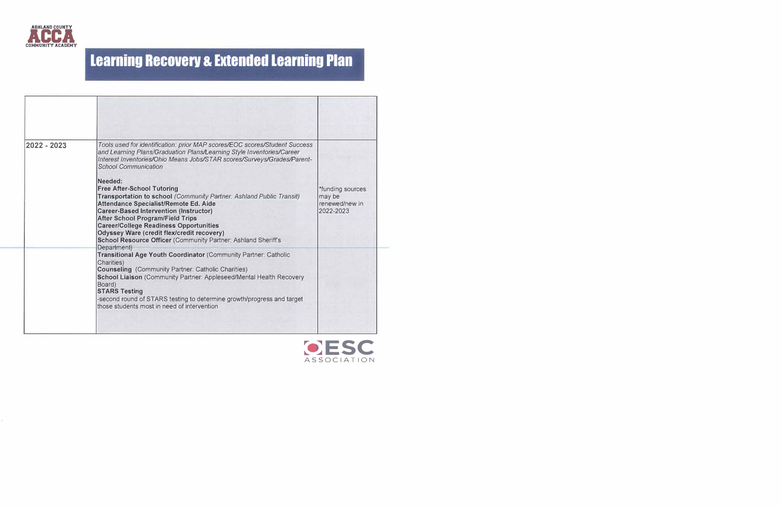

| 2022 - 2023 | Tools used for identification: prior MAP scores/EOC scores/Student Success<br>and Learning Plans/Graduation Plans/Learning Style Inventories/Career<br>Interest Inventories/Ohio Means Jobs/STAR scores/Surveys/Grades/Parent-<br><b>School Communication</b>                                                                                                                                                                    |                                                           |
|-------------|----------------------------------------------------------------------------------------------------------------------------------------------------------------------------------------------------------------------------------------------------------------------------------------------------------------------------------------------------------------------------------------------------------------------------------|-----------------------------------------------------------|
|             | Needed:<br><b>Free After-School Tutoring</b><br>Transportation to school (Community Partner: Ashland Public Transit)<br>Attendance Specialist/Remote Ed. Aide<br><b>Career-Based Intervention (Instructor)</b><br><b>After School Program/Field Trips</b><br><b>Career/College Readiness Opportunities</b><br><b>Odyssey Ware (credit flex/credit recovery)</b><br>School Resource Officer (Community Partner: Ashland Sheriff's | *funding sources<br>may be<br>renewed/new in<br>2022-2023 |
|             | Department)<br>Transitional Age Youth Coordinator (Community Partner: Catholic<br>Charities)<br><b>Counseling</b> (Community Partner: Catholic Charities)<br>School Liaison (Community Partner: Appleseed/Mental Health Recovery<br>Board)<br><b>STARS Testing</b><br>-second round of STARS testing to determine growth/progress and target<br>those students most in need of intervention                                      |                                                           |

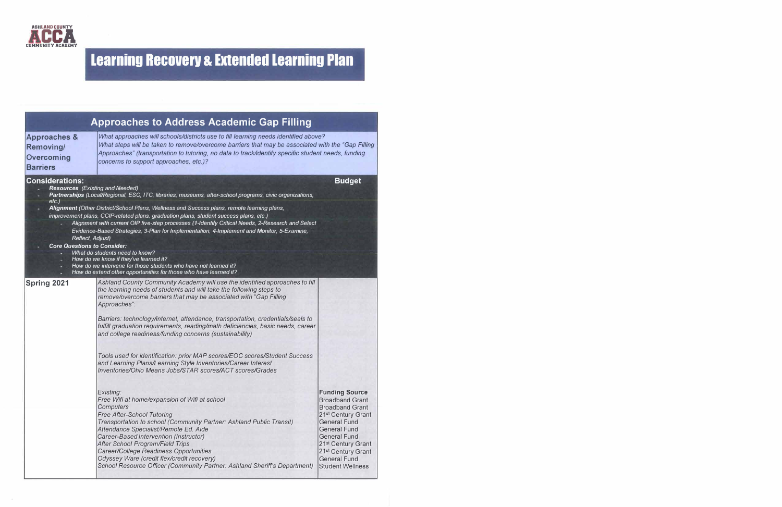

|                                                                                                                                        | <b>Approaches to Address Academic Gap Filling</b>                                                                                                                                                                                                                                                                                                                                                                                                                                                                                                                                                                                                                                                                                                                                                                                                                                                                                                                                                                                                                                                                                                                               |                                                                                                                                                                                                                                                                                            |
|----------------------------------------------------------------------------------------------------------------------------------------|---------------------------------------------------------------------------------------------------------------------------------------------------------------------------------------------------------------------------------------------------------------------------------------------------------------------------------------------------------------------------------------------------------------------------------------------------------------------------------------------------------------------------------------------------------------------------------------------------------------------------------------------------------------------------------------------------------------------------------------------------------------------------------------------------------------------------------------------------------------------------------------------------------------------------------------------------------------------------------------------------------------------------------------------------------------------------------------------------------------------------------------------------------------------------------|--------------------------------------------------------------------------------------------------------------------------------------------------------------------------------------------------------------------------------------------------------------------------------------------|
| <b>Approaches &amp;</b><br><b>Removing/</b><br><b>Overcoming</b><br><b>Barriers</b>                                                    | What approaches will schools/districts use to fill learning needs identified above?<br>What steps will be taken to remove/overcome barriers that may be associated with the "Gap Filling<br>Approaches" (transportation to tutoring, no data to track/identify specific student needs, funding<br>concerns to support approaches, etc.)?                                                                                                                                                                                                                                                                                                                                                                                                                                                                                                                                                                                                                                                                                                                                                                                                                                        |                                                                                                                                                                                                                                                                                            |
| <b>Considerations:</b><br><b>Resources</b> (Existing and Needed)<br>$etc.$ )<br>Reflect, Adjust)<br><b>Core Questions to Consider:</b> | Partnerships (Local/Regional, ESC, ITC, libraries, museums, after-school programs, civic organizations,<br>Alignment (Other District/School Plans, Wellness and Success plans, remote learning plans,<br>improvement plans, CCIP-related plans, graduation plans, student success plans, etc.)<br>Alignment with current OIP five-step processes (1-Identify Critical Needs, 2-Research and Select<br>Evidence-Based Strategies, 3-Plan for Implementation, 4-Implement and Monitor, 5-Examine,<br>What do students need to know?                                                                                                                                                                                                                                                                                                                                                                                                                                                                                                                                                                                                                                               | <b>Budget</b>                                                                                                                                                                                                                                                                              |
|                                                                                                                                        | How do we know if they've learned it?<br>How do we intervene for those students who have not learned it?<br>How do extend other opportunities for those who have learned it?                                                                                                                                                                                                                                                                                                                                                                                                                                                                                                                                                                                                                                                                                                                                                                                                                                                                                                                                                                                                    |                                                                                                                                                                                                                                                                                            |
| Spring 2021                                                                                                                            | Ashland County Community Academy will use the identified approaches to fill<br>the learning needs of students and will take the following steps to<br>remove/overcome barriers that may be associated with "Gap Filling<br>Approaches":<br>Barriers: technology/internet, attendance, transportation, credentials/seals to<br>fulfill graduation requirements, reading/math deficiencies, basic needs, career<br>and college readiness/funding concerns (sustainability)<br>Tools used for identification: prior MAP scores/EOC scores/Student Success<br>and Learning Plans/Learning Style Inventories/Career Interest<br>Inventories/Ohio Means Jobs/STAR scores/ACT scores/Grades<br>Existing:<br>Free Wifi at home/expansion of Wifi at school<br>Computers<br><b>Free After-School Tutoring</b><br>Transportation to school (Community Partner: Ashland Public Transit)<br>Attendance Specialist/Remote Ed. Aide<br>Career-Based Intervention (Instructor)<br><b>After School Program/Field Trips</b><br>Career/College Readiness Opportunities<br>Odyssey Ware (credit flex/credit recovery)<br>School Resource Officer (Community Partner: Ashland Sheriff's Department) | <b>Funding Source</b><br><b>Broadband Grant</b><br><b>Broadband Grant</b><br>21 <sup>st</sup> Century Grant<br><b>General Fund</b><br><b>General Fund</b><br><b>General Fund</b><br>21 <sup>st</sup> Century Grant<br>21st Century Grant<br><b>General Fund</b><br><b>Student Wellness</b> |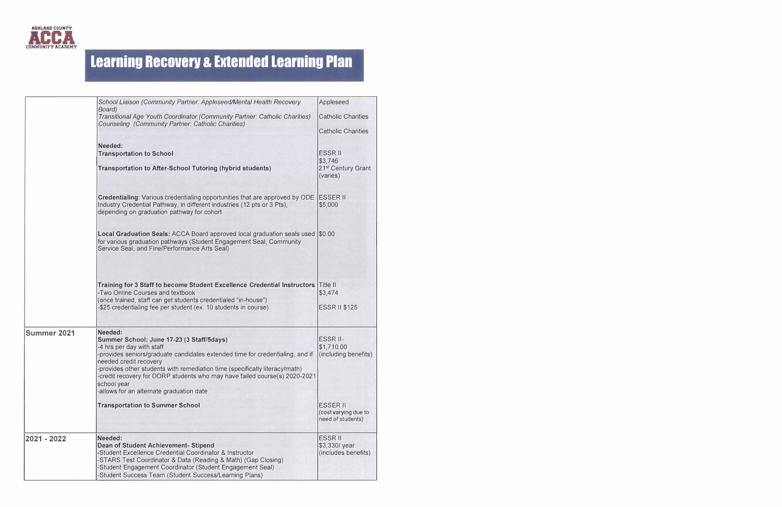

|             | School Liaison (Community Partner: Appleseed/Mental Health Recovery<br>Board)                                                                                                                                                                                                                                                                                                                                        | Appleseed                                                    |
|-------------|----------------------------------------------------------------------------------------------------------------------------------------------------------------------------------------------------------------------------------------------------------------------------------------------------------------------------------------------------------------------------------------------------------------------|--------------------------------------------------------------|
|             | Transitional Age Youth Coordinator (Community Partner: Catholic Charities)<br><b>Counseling (Community Partner: Catholic Charities)</b>                                                                                                                                                                                                                                                                              | <b>Catholic Charities</b>                                    |
|             |                                                                                                                                                                                                                                                                                                                                                                                                                      | <b>Catholic Charities</b>                                    |
|             | Needed:<br><b>Transportation to School</b>                                                                                                                                                                                                                                                                                                                                                                           | <b>ESSR II</b><br>\$3,746                                    |
|             | <b>Transportation to After-School Tutoring (hybrid students)</b>                                                                                                                                                                                                                                                                                                                                                     | 21 <sup>st</sup> Century Grant<br>(varies)                   |
|             | <b>Credentialing:</b> Various credentialing opportunities that are approved by ODE ESSER II<br>Industry Credential Pathway, in different industries (12 pts or 3 Pts),<br>depending on graduation pathway for cohort                                                                                                                                                                                                 | \$5,000                                                      |
|             | Local Graduation Seals: ACCA Board approved local graduation seals used \$0.00<br>for various graduation pathways (Student Engagement Seal, Community<br>Service Seal, and Fine/Performance Arts Seal)                                                                                                                                                                                                               |                                                              |
|             | Training for 3 Staff to become Student Excellence Credential Instructors<br>-Two Online Courses and textbook<br>(once trained, staff can get students credentialed "in-house")<br>-\$25 credentialing fee per student (ex. 10 students in course)                                                                                                                                                                    | Title II<br>\$3,474<br><b>ESSR II \$125</b>                  |
| Summer 2021 | Needed:<br>Summer School: June 17-23 (3 Staff/5days)<br>-4 hrs per day with staff<br>-provides seniors/graduate candidates extended time for credentialing, and if<br>needed credit recovery<br>-provides other students with remediation time (specifically literacy/math)<br>-credit recovery for DORP students who may have failed course(s) 2020-2021<br>school year<br>-allows for an alternate graduation date | ESSR II-<br>\$1,710.00<br>(including benefits)               |
|             | <b>Transportation to Summer School</b>                                                                                                                                                                                                                                                                                                                                                                               | <b>ESSER II</b><br>(cost varying due to<br>need of students) |
| 2021 - 2022 | Needed:<br><b>Dean of Student Achievement- Stipend</b><br>-Student Excellence Credential Coordinator & Instructor<br>-STARS Test Coordinator & Data (Reading & Math) (Gap Closing)<br>-Student Engagement Coordinator (Student Engagement Seal)<br>-Student Success Team (Student Success/Learning Plans)                                                                                                            | <b>ESSRII</b><br>\$3,330/ year<br>(includes benefits)        |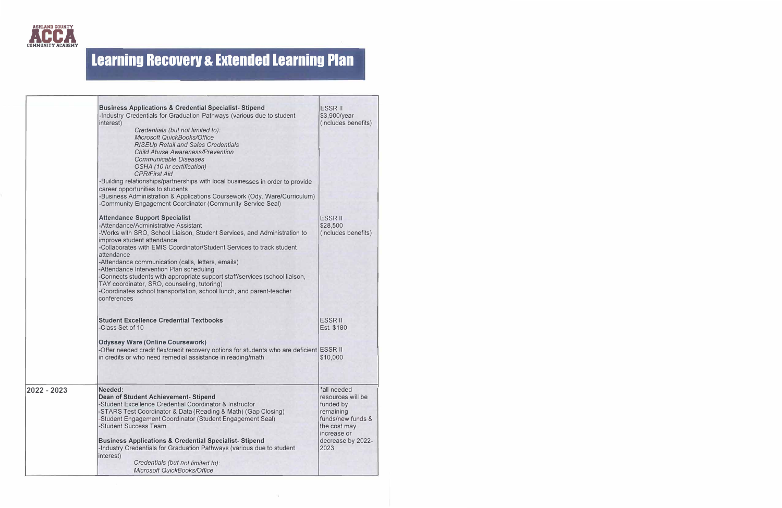

|               | <b>Business Applications &amp; Credential Specialist-Stipend</b><br>-Industry Credentials for Graduation Pathways (various due to student<br>interest)<br>Credentials (but not limited to):<br>Microsoft QuickBooks/Office<br><b>RISEUp Retail and Sales Credentials</b><br><b>Child Abuse Awareness/Prevention</b><br><b>Communicable Diseases</b><br>OSHA (10 hr certification)<br><b>CPR/First Aid</b><br>-Building relationships/partnerships with local businesses in order to provide<br>career opportunities to students<br>-Business Administration & Applications Coursework (Ody. Ware/Curriculum)<br>-Community Engagement Coordinator (Community Service Seal) | <b>ESSR II</b><br>\$3,900/year<br>(includes benefits)                                                                                       |
|---------------|----------------------------------------------------------------------------------------------------------------------------------------------------------------------------------------------------------------------------------------------------------------------------------------------------------------------------------------------------------------------------------------------------------------------------------------------------------------------------------------------------------------------------------------------------------------------------------------------------------------------------------------------------------------------------|---------------------------------------------------------------------------------------------------------------------------------------------|
|               | <b>Attendance Support Specialist</b><br>-Attendance/Administrative Assistant<br>-Works with SRO, School Liaison, Student Services, and Administration to<br>improve student attendance<br>-Collaborates with EMIS Coordinator/Student Services to track student<br>attendance<br>-Attendance communication (calls, letters, emails)<br>-Attendance Intervention Plan scheduling<br>-Connects students with appropriate support staff/services (school liaison,                                                                                                                                                                                                             | <b>ESSR II</b><br>\$28,500<br>(includes benefits)                                                                                           |
|               | TAY coordinator, SRO, counseling, tutoring)<br>-Coordinates school transportation, school lunch, and parent-teacher<br>conferences                                                                                                                                                                                                                                                                                                                                                                                                                                                                                                                                         |                                                                                                                                             |
|               | <b>Student Excellence Credential Textbooks</b><br>-Class Set of 10                                                                                                                                                                                                                                                                                                                                                                                                                                                                                                                                                                                                         | <b>ESSR II</b><br>Est. \$180                                                                                                                |
|               | <b>Odyssey Ware (Online Coursework)</b><br>-Offer needed credit flex/credit recovery options for students who are deficient ESSR II<br>in credits or who need remedial assistance in reading/math                                                                                                                                                                                                                                                                                                                                                                                                                                                                          | \$10,000                                                                                                                                    |
| $2022 - 2023$ | Needed:<br><b>Dean of Student Achievement- Stipend</b><br>-Student Excellence Credential Coordinator & Instructor<br>-STARS Test Coordinator & Data (Reading & Math) (Gap Closing)<br>-Student Engagement Coordinator (Student Engagement Seal)<br>-Student Success Team<br><b>Business Applications &amp; Credential Specialist-Stipend</b><br>-Industry Credentials for Graduation Pathways (various due to student<br>interest)                                                                                                                                                                                                                                         | *all needed<br>resources will be<br>funded by<br>remaining<br>funds/new funds &<br>the cost may<br>increase or<br>decrease by 2022-<br>2023 |
|               | Credentials (but not limited to):<br>Microsoft QuickBooks/Office                                                                                                                                                                                                                                                                                                                                                                                                                                                                                                                                                                                                           |                                                                                                                                             |

÷.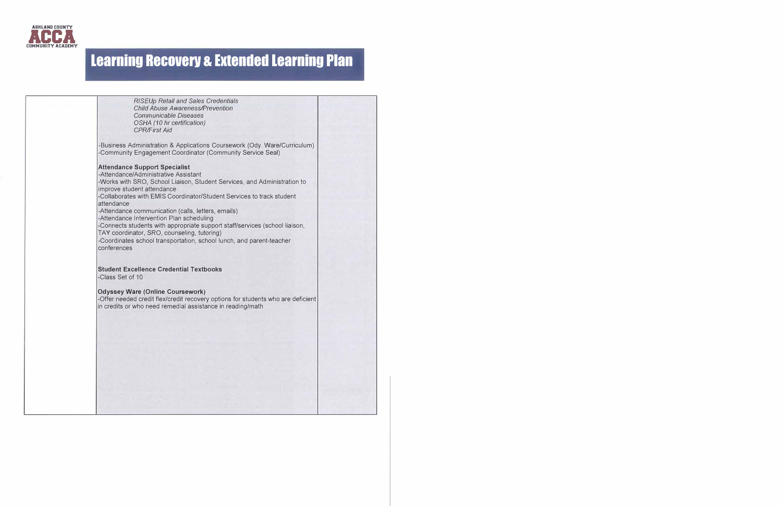

| RISEUp Retail and Sales Credentials<br><b>Child Abuse Awareness/Prevention</b><br><b>Communicable Diseases</b><br>OSHA (10 hr certification)<br><b>CPR/First Aid</b>                                                                                                                                                                                                                                                                                                                                                                                                                                 |
|------------------------------------------------------------------------------------------------------------------------------------------------------------------------------------------------------------------------------------------------------------------------------------------------------------------------------------------------------------------------------------------------------------------------------------------------------------------------------------------------------------------------------------------------------------------------------------------------------|
| -Business Administration & Applications Coursework (Ody. Ware/Curriculum)<br>-Community Engagement Coordinator (Community Service Seal)                                                                                                                                                                                                                                                                                                                                                                                                                                                              |
| <b>Attendance Support Specialist</b><br>-Attendance/Administrative Assistant<br>-Works with SRO, School Liaison, Student Services, and Administration to<br>improve student attendance<br>-Collaborates with EMIS Coordinator/Student Services to track student<br>attendance<br>-Attendance communication (calls, letters, emails)<br>-Attendance Intervention Plan scheduling<br>-Connects students with appropriate support staff/services (school liaison,<br>TAY coordinator, SRO, counseling, tutoring)<br>-Coordinates school transportation, school lunch, and parent-teacher<br>conferences |
| <b>Student Excellence Credential Textbooks</b><br>-Class Set of 10                                                                                                                                                                                                                                                                                                                                                                                                                                                                                                                                   |
| <b>Odyssey Ware (Online Coursework)</b><br>-Offer needed credit flex/credit recovery options for students who are deficient<br>in credits or who need remedial assistance in reading/math                                                                                                                                                                                                                                                                                                                                                                                                            |
|                                                                                                                                                                                                                                                                                                                                                                                                                                                                                                                                                                                                      |
|                                                                                                                                                                                                                                                                                                                                                                                                                                                                                                                                                                                                      |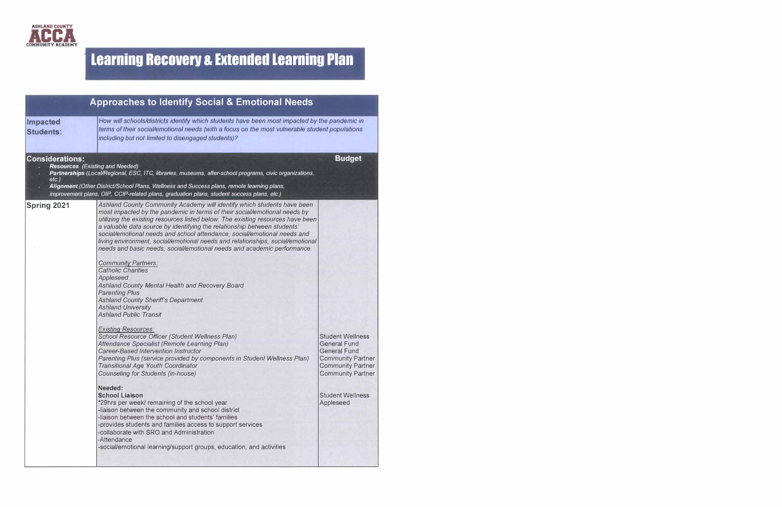

| <b>Approaches to Identify Social &amp; Emotional Needs</b>                   |                                                                                                                                                                                                                                                                                                                                                                                                                                                                                                                                                                                                                                                                                                                                                                                                                                                                                                                                                                                                                                                                                                                                                                                                                                                                                                                                                                                                                                                                                                                                                                                      |                                                                                                                                                                                                   |
|------------------------------------------------------------------------------|--------------------------------------------------------------------------------------------------------------------------------------------------------------------------------------------------------------------------------------------------------------------------------------------------------------------------------------------------------------------------------------------------------------------------------------------------------------------------------------------------------------------------------------------------------------------------------------------------------------------------------------------------------------------------------------------------------------------------------------------------------------------------------------------------------------------------------------------------------------------------------------------------------------------------------------------------------------------------------------------------------------------------------------------------------------------------------------------------------------------------------------------------------------------------------------------------------------------------------------------------------------------------------------------------------------------------------------------------------------------------------------------------------------------------------------------------------------------------------------------------------------------------------------------------------------------------------------|---------------------------------------------------------------------------------------------------------------------------------------------------------------------------------------------------|
| Impacted<br><b>Students:</b>                                                 | How will schools/districts identify which students have been most impacted by the pandemic in<br>terms of their social/emotional needs (with a focus on the most vulnerable student populations<br>including but not limited to disengaged students)?                                                                                                                                                                                                                                                                                                                                                                                                                                                                                                                                                                                                                                                                                                                                                                                                                                                                                                                                                                                                                                                                                                                                                                                                                                                                                                                                |                                                                                                                                                                                                   |
| <b>Considerations:</b><br><b>Resources</b> (Existing and Needed)<br>$etc.$ ) | Partnerships (Local/Regional, ESC, ITC, libraries, museums, after-school programs, civic organizations,<br>Alignment (Other District/School Plans, Wellness and Success plans, remote learning plans,<br>improvement plans, OIP, CCIP-related plans, graduation plans, student success plans, etc.)                                                                                                                                                                                                                                                                                                                                                                                                                                                                                                                                                                                                                                                                                                                                                                                                                                                                                                                                                                                                                                                                                                                                                                                                                                                                                  | <b>Budget</b>                                                                                                                                                                                     |
| <b>Spring 2021</b>                                                           | Ashland County Community Academy will identify which students have been<br>most impacted by the pandemic in terms of their social/emotional needs by<br>utilizing the existing resources listed below. The existing resources have been<br>a valuable data source by identifying the relationship between students'<br>social/emotional needs and school attendance, social/emotional needs and<br>living environment, social/emotional needs and relationships, social/emotional<br>needs and basic needs, social/emotional needs and academic performance.<br><b>Community Partners:</b><br><b>Catholic Charities</b><br>Appleseed<br>Ashland County Mental Health and Recovery Board<br><b>Parenting Plus</b><br><b>Ashland County Sheriff's Department</b><br><b>Ashland University</b><br><b>Ashland Public Transit</b><br><b>Existing Resources:</b><br>School Resource Officer (Student Wellness Plan)<br>Attendance Specialist (Remote Learning Plan)<br><b>Career-Based Intervention Instructor</b><br>Parenting Plus (service provided by components in Student Wellness Plan)<br><b>Transitional Age Youth Coordinator</b><br><b>Counseling for Students (in-house)</b><br>Needed:<br><b>School Liaison</b><br>*29hrs per week/ remaining of the school year<br>-liaison between the community and school district<br>-liaison between the school and students' families<br>-provides students and families access to support services<br>-collaborate with SRO and Administration<br>-Attendance<br>-social/emotional learning/support groups, education, and activities | <b>Student Wellness</b><br><b>General Fund</b><br><b>General Fund</b><br><b>Community Partner</b><br><b>Community Partner</b><br><b>Community Partner</b><br><b>Student Wellness</b><br>Appleseed |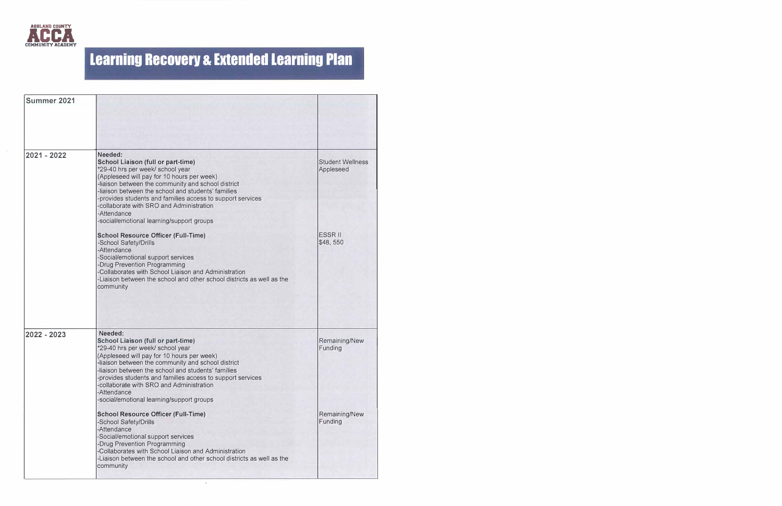

| Summer 2021   |                                                                                                                                                                                                                                                                                                                                                                                                                        |                                      |
|---------------|------------------------------------------------------------------------------------------------------------------------------------------------------------------------------------------------------------------------------------------------------------------------------------------------------------------------------------------------------------------------------------------------------------------------|--------------------------------------|
|               |                                                                                                                                                                                                                                                                                                                                                                                                                        |                                      |
| 2021 - 2022   | Needed:<br><b>School Liaison (full or part-time)</b><br>*29-40 hrs per week/ school year<br>(Appleseed will pay for 10 hours per week)<br>-liaison between the community and school district<br>-liaison between the school and students' families<br>provides students and families access to support services<br>collaborate with SRO and Administration<br>-Attendance<br>-social/emotional learning/support groups | <b>Student Wellness</b><br>Appleseed |
|               | <b>School Resource Officer (Full-Time)</b><br>-School Safety/Drills<br>-Attendance<br>-Social/emotional support services<br><b>Drug Prevention Programming</b><br>-Collaborates with School Liaison and Administration<br>-Liaison between the school and other school districts as well as the<br>community                                                                                                           | <b>ESSR II</b><br>\$48,550           |
| $2022 - 2023$ | Needed:<br><b>School Liaison (full or part-time)</b><br>*29-40 hrs per week/ school year<br>(Appleseed will pay for 10 hours per week)<br>-liaison between the community and school district<br>-liaison between the school and students' families<br>provides students and families access to support services<br>collaborate with SRO and Administration<br>-Attendance<br>-social/emotional learning/support groups | Remaining/New<br>Funding             |
|               | <b>School Resource Officer (Full-Time)</b><br>-School Safety/Drills<br>-Attendance<br>-Social/emotional support services<br><b>-Drug Prevention Programming</b><br>-Collaborates with School Liaison and Administration<br>-Liaison between the school and other school districts as well as the<br>community                                                                                                          | Remaining/New<br>Funding             |

 $\bar{a}$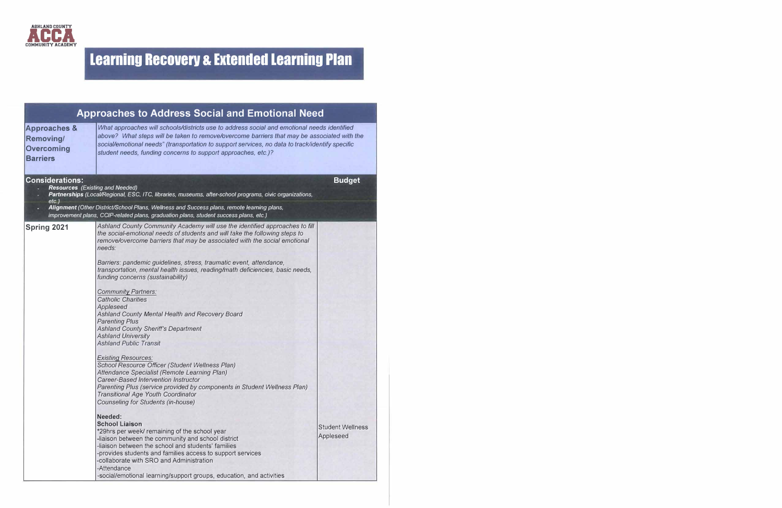

| <b>Approaches to Address Social and Emotional Need</b>                       |                                                                                                                                                                                                                                                                                                                                                                                                                                                                                                                                                                                                                                                                                                                                                                                                                                                                                                                                                                                                                                                                                                                                                                                                                                                                                                                                                                                                                                                                 |                                      |
|------------------------------------------------------------------------------|-----------------------------------------------------------------------------------------------------------------------------------------------------------------------------------------------------------------------------------------------------------------------------------------------------------------------------------------------------------------------------------------------------------------------------------------------------------------------------------------------------------------------------------------------------------------------------------------------------------------------------------------------------------------------------------------------------------------------------------------------------------------------------------------------------------------------------------------------------------------------------------------------------------------------------------------------------------------------------------------------------------------------------------------------------------------------------------------------------------------------------------------------------------------------------------------------------------------------------------------------------------------------------------------------------------------------------------------------------------------------------------------------------------------------------------------------------------------|--------------------------------------|
| <b>Approaches &amp;</b><br>Removing/<br><b>Overcoming</b><br><b>Barriers</b> | What approaches will schools/districts use to address social and emotional needs identified<br>above? What steps will be taken to remove/overcome barriers that may be associated with the<br>social/emotional needs" (transportation to support services, no data to track/identify specific<br>student needs, funding concerns to support approaches, etc.)?                                                                                                                                                                                                                                                                                                                                                                                                                                                                                                                                                                                                                                                                                                                                                                                                                                                                                                                                                                                                                                                                                                  |                                      |
| <b>Considerations:</b><br><b>Resources</b> (Existing and Needed)<br>$etc.$ ) | Partnerships (Local/Regional, ESC, ITC, libraries, museums, after-school programs, civic organizations,                                                                                                                                                                                                                                                                                                                                                                                                                                                                                                                                                                                                                                                                                                                                                                                                                                                                                                                                                                                                                                                                                                                                                                                                                                                                                                                                                         | <b>Budget</b>                        |
|                                                                              | Alignment (Other District/School Plans, Wellness and Success plans, remote learning plans,<br>improvement plans, CCIP-related plans, graduation plans, student success plans, etc.)                                                                                                                                                                                                                                                                                                                                                                                                                                                                                                                                                                                                                                                                                                                                                                                                                                                                                                                                                                                                                                                                                                                                                                                                                                                                             |                                      |
| <b>Spring 2021</b>                                                           | Ashland County Community Academy will use the identified approaches to fill<br>the social-emotional needs of students and will take the following steps to<br>remove/overcome barriers that may be associated with the social emotional<br>needs:<br>Barriers: pandemic guidelines, stress, traumatic event, attendance,<br>transportation, mental health issues, reading/math deficiencies, basic needs,<br>funding concerns (sustainability)<br><b>Community Partners:</b><br><b>Catholic Charities</b><br>Appleseed<br>Ashland County Mental Health and Recovery Board<br><b>Parenting Plus</b><br><b>Ashland County Sheriff's Department</b><br><b>Ashland University</b><br><b>Ashland Public Transit</b><br><b>Existing Resources:</b><br>School Resource Officer (Student Wellness Plan)<br>Attendance Specialist (Remote Learning Plan)<br>Career-Based Intervention Instructor<br>Parenting Plus (service provided by components in Student Wellness Plan)<br><b>Transitional Age Youth Coordinator</b><br><b>Counseling for Students (in-house)</b><br>Needed:<br><b>School Liaison</b><br>*29hrs per week/ remaining of the school year<br>-liaison between the community and school district<br>-liaison between the school and students' families<br>-provides students and families access to support services<br>-collaborate with SRO and Administration<br>-Attendance<br>-social/emotional learning/support groups, education, and activities | <b>Student Wellness</b><br>Appleseed |